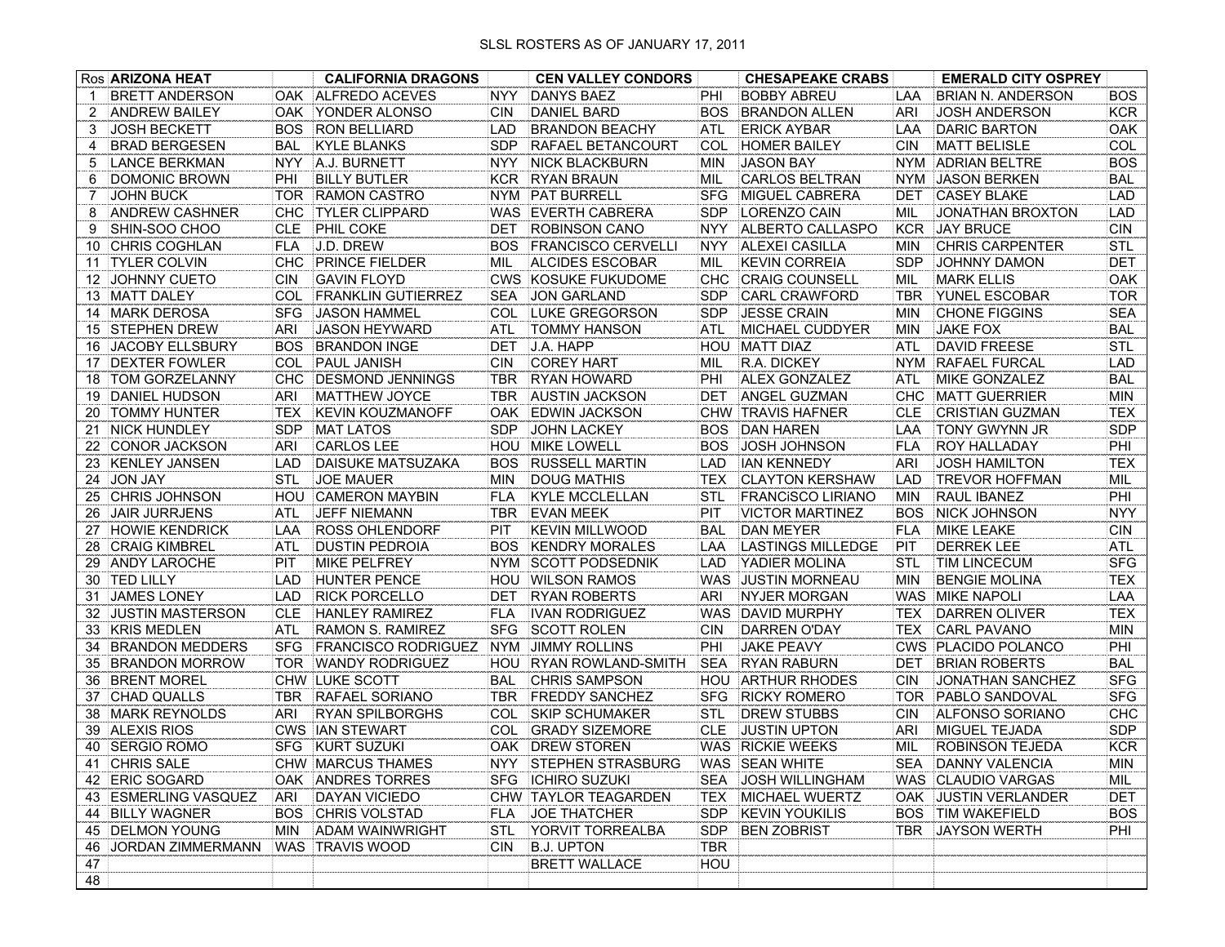|    | Ros ARIZONA HEAT        |            | <b>CALIFORNIA DRAGONS</b>  |            | <b>CEN VALLEY CONDORS</b>              |            | <b>CHESAPEAKE CRABS</b>   |            | <b>EMERALD CITY OSPREY</b> |            |
|----|-------------------------|------------|----------------------------|------------|----------------------------------------|------------|---------------------------|------------|----------------------------|------------|
| 1  | <b>BRETT ANDERSON</b>   | OAK        | ALFREDO ACEVES             | <b>NYY</b> | <b>DANYS BAEZ</b>                      | PHI        | <b>BOBBY ABREU</b>        | LAA        | BRIAN N. ANDERSON          | <b>BOS</b> |
| 2  | <b>ANDREW BAILEY</b>    | OAK        | YONDER ALONSO              | CIN        | <b>DANIEL BARD</b>                     | <b>BOS</b> | <b>BRANDON ALLEN</b>      | ARI        | <b>JOSH ANDERSON</b>       | <b>KCR</b> |
| 3  | <b>JOSH BECKETT</b>     | <b>BOS</b> | <b>RON BELLIARD</b>        | LAD        | <b>BRANDON BEACHY</b>                  | <b>ATL</b> | <b>ERICK AYBAR</b>        | <b>LAA</b> | DARIC BARTON               | OAK        |
| 4  | <b>BRAD BERGESEN</b>    | BAL        | <b>KYLE BLANKS</b>         | <b>SDP</b> | RAFAEL BETANCOURT                      | <b>COL</b> | <b>HOMER BAILEY</b>       | <b>CIN</b> | <b>MATT BELISLE</b>        | COL        |
| 5  | <b>LANCE BERKMAN</b>    | <b>NYY</b> | A.J. BURNETT               | <b>NYY</b> | <b>NICK BLACKBURN</b>                  | <b>MIN</b> | <b>JASON BAY</b>          | <b>NYM</b> | <b>ADRIAN BELTRE</b>       | <b>BOS</b> |
| 6  | DOMONIC BROWN           | PHI        | <b>BILLY BUTLER</b>        | <b>KCR</b> | <b>RYAN BRAUN</b>                      | MIL        | <b>CARLOS BELTRAN</b>     | <b>NYM</b> | <b>JASON BERKEN</b>        | <b>BAL</b> |
| 7  | <b>JOHN BUCK</b>        | <b>TOR</b> | <b>RAMON CASTRO</b>        | <b>NYM</b> | <b>PAT BURRELL</b>                     | <b>SFG</b> | <b>MIGUEL CABRERA</b>     | <b>DET</b> | <b>CASEY BLAKE</b>         | LAD        |
| 8  | <b>ANDREW CASHNER</b>   | <b>CHC</b> | <b>TYLER CLIPPARD</b>      | <b>WAS</b> | <b>EVERTH CABRERA</b>                  | <b>SDP</b> | <b>LORENZO CAIN</b>       | MIL        | JONATHAN BROXTON           | LAD        |
| 9  | SHIN-SOO CHOO           | <b>CLE</b> | <b>PHIL COKE</b>           | DET        | <b>ROBINSON CANO</b>                   | <b>NYY</b> | ALBERTO CALLASPO          | <b>KCR</b> | <b>JAY BRUCE</b>           | CIN        |
| 10 | <b>CHRIS COGHLAN</b>    | FLA        | J.D. DREW                  | <b>BOS</b> | <b>FRANCISCO CERVELLI</b>              | <b>NYY</b> | <b>ALEXEI CASILLA</b>     | <b>MIN</b> | <b>CHRIS CARPENTER</b>     | <b>STL</b> |
| 11 | <b>TYLER COLVIN</b>     | <b>CHC</b> | <b>PRINCE FIELDER</b>      | MIL        | <b>ALCIDES ESCOBAR</b>                 | MIL        | <b>KEVIN CORREIA</b>      | <b>SDP</b> | JOHNNY DAMON               | <b>DET</b> |
| 12 | <b>JOHNNY CUETO</b>     | <b>CIN</b> | <b>GAVIN FLOYD</b>         | <b>CWS</b> | KOSUKE FUKUDOME                        | <b>CHC</b> | <b>CRAIG COUNSELL</b>     | MIL        | <b>MARK ELLIS</b>          | OAK        |
|    | 13 MATT DALEY           | COL        | <b>FRANKLIN GUTIERREZ</b>  | <b>SEA</b> | <b>JON GARLAND</b>                     | <b>SDP</b> | <b>CARL CRAWFORD</b>      | <b>TBR</b> | <b>YUNEL ESCOBAR</b>       | <b>TOR</b> |
|    | 14 MARK DEROSA          | <b>SFG</b> | <b>JASON HAMMEL</b>        | COL        | LUKE GREGORSON                         | <b>SDP</b> | <b>JESSE CRAIN</b>        | <b>MIN</b> | <b>CHONE FIGGINS</b>       | <b>SEA</b> |
|    | 15 STEPHEN DREW         | ARI        | <b>JASON HEYWARD</b>       | <b>ATL</b> | <b>TOMMY HANSON</b>                    | ATL        | MICHAEL CUDDYER           | <b>MIN</b> | <b>JAKE FOX</b>            | <b>BAL</b> |
| 16 | <b>JACOBY ELLSBURY</b>  | BOS        | <b>BRANDON INGE</b>        | DET        | J.A. HAPP                              | <b>HOU</b> | <b>MATT DIAZ</b>          | ATL        | <b>DAVID FREESE</b>        | <b>STL</b> |
| 17 | <b>DEXTER FOWLER</b>    | <b>COL</b> | <b>PAUL JANISH</b>         | <b>CIN</b> | <b>COREY HART</b>                      | MIL        | <b>R.A. DICKEY</b>        | <b>NYM</b> | <b>RAFAEL FURCAL</b>       | LAD        |
| 18 | <b>TOM GORZELANNY</b>   | CHC        | <b>DESMOND JENNINGS</b>    | <b>TBR</b> | <b>RYAN HOWARD</b>                     | PHI        | <b>ALEX GONZALEZ</b>      | <b>ATL</b> | MIKE GONZALEZ              | <b>BAL</b> |
|    | 19 DANIEL HUDSON        | ARI        | <b>MATTHEW JOYCE</b>       | TBR        | <b>AUSTIN JACKSON</b>                  | <b>DET</b> | <b>ANGEL GUZMAN</b>       | CHC        | <b>MATT GUERRIER</b>       | MIN        |
| 20 | <b>TOMMY HUNTER</b>     | <b>TEX</b> | <b>KEVIN KOUZMANOFF</b>    | 0AK        | <b>EDWIN JACKSON</b>                   | <b>CHW</b> | <b>TRAVIS HAFNER</b>      | <b>CLE</b> | <b>CRISTIAN GUZMAN</b>     | <b>TEX</b> |
|    | 21 NICK HUNDLEY         | <b>SDP</b> | <b>MAT LATOS</b>           | <b>SDP</b> | <b>JOHN LACKEY</b>                     | <b>BOS</b> | <b>DAN HAREN</b>          | LAA        | TONY GWYNN JR              | <b>SDP</b> |
|    | 22 CONOR JACKSON        | ARI        | <b>CARLOS LEE</b>          | HOU        | MIKE LOWELL                            | <b>BOS</b> | <b>JOSH JOHNSON</b>       | <b>FLA</b> | <b>ROY HALLADAY</b>        | PHI        |
| 23 | <b>KENLEY JANSEN</b>    | LAD        | DAISUKE MATSUZAKA          | <b>BOS</b> | <b>RUSSELL MARTIN</b>                  | <b>LAD</b> | <b>IAN KENNEDY</b>        | <b>ARI</b> | <b>JOSH HAMILTON</b>       | TEX        |
| 24 | <b>JON JAY</b>          | <b>STL</b> | <b>JOE MAUER</b>           | MIN        | <b>DOUG MATHIS</b>                     | <b>TEX</b> | <b>CLAYTON KERSHAW</b>    | <b>LAD</b> | <b>TREVOR HOFFMAN</b>      | MIL        |
| 25 | <b>CHRIS JOHNSON</b>    | HOU        | <b>CAMERON MAYBIN</b>      | FLA        | <b>KYLE MCCLELLAN</b>                  | <b>STL</b> | <b>FRANCISCO LIRIANO</b>  | <b>MIN</b> | <b>RAUL IBANEZ</b>         | PHI        |
| 26 | <b>JAIR JURRJENS</b>    | ATL        | <b>JEFF NIEMANN</b>        | <b>TBR</b> | <b>EVAN MEEK</b>                       | PIT        | <b>VICTOR MARTINEZ</b>    | <b>BOS</b> | NICK JOHNSON               | <b>NYY</b> |
| 27 | <b>HOWIE KENDRICK</b>   | LAA        | <b>ROSS OHLENDORF</b>      | PIT        | <b>KEVIN MILLWOOD</b>                  | <b>BAL</b> | <b>DAN MEYER</b>          | FLA        | MIKE LEAKE                 | <b>CIN</b> |
| 28 | <b>CRAIG KIMBREL</b>    | <b>ATL</b> | <b>DUSTIN PEDROIA</b>      | <b>BOS</b> | <b>KENDRY MORALES</b>                  | LAA        | <b>LASTINGS MILLEDGE</b>  | PIT        | <b>DERREK LEE</b>          | <b>ATL</b> |
|    | 29 ANDY LAROCHE         | PIT        | <b>MIKE PELFREY</b>        | <b>NYM</b> | <b>SCOTT PODSEDNIK</b>                 | <b>LAD</b> | YADIER MOLINA             | <b>STL</b> | <b>TIM LINCECUM</b>        | <b>SFG</b> |
| 30 | <b>TED LILLY</b>        | LAD        | <b>HUNTER PENCE</b>        | HOU        | <b>WILSON RAMOS</b>                    | <b>WAS</b> | <b>JUSTIN MORNEAU</b>     | <b>MIN</b> | <b>BENGIE MOLINA</b>       | <b>TEX</b> |
| 31 | <b>JAMES LONEY</b>      | LAD        | <b>RICK PORCELLO</b>       | DET        | <b>RYAN ROBERTS</b>                    | ARI        | <b>NYJER MORGAN</b>       | WAS        | <b>MIKE NAPOLI</b>         | LAA        |
| 32 | <b>JUSTIN MASTERSON</b> | <b>CLE</b> | <b>HANLEY RAMIREZ</b>      | FLA        | <b>IVAN RODRIGUEZ</b>                  | <b>WAS</b> | <b>DAVID MURPHY</b>       | TEX        | DARREN OLIVER              | <b>TEX</b> |
|    | 33 KRIS MEDLEN          | ATL        | <b>RAMON S. RAMIREZ</b>    | <b>SFG</b> | <b>SCOTT ROLEN</b>                     | <b>CIN</b> | DARREN O'DAY              | <b>TEX</b> | <b>CARL PAVANO</b>         | MIN        |
|    | 34 BRANDON MEDDERS      | <b>SFG</b> | <b>FRANCISCO RODRIGUEZ</b> | <b>NYM</b> | <b>JIMMY ROLLINS</b>                   | PHI        | <b>JAKE PEAVY</b>         |            | CWS PLACIDO POLANCO        | PHI        |
|    | 35 BRANDON MORROW       | <b>TOR</b> | <b>WANDY RODRIGUEZ</b>     | HOU        | <b>RYAN ROWLAND-SMITH</b>              | <b>SEA</b> | <b>RYAN RABURN</b>        | DET        | <b>BRIAN ROBERTS</b>       | BAL        |
|    | 36 BRENT MOREL          |            | CHW LUKE SCOTT             | <b>BAL</b> | <b>CHRIS SAMPSON</b>                   | HOU        | <b>ARTHUR RHODES</b>      | <b>CIN</b> | JONATHAN SANCHEZ           | <b>SFG</b> |
|    | 37 CHAD QUALLS          | TBR        | <b>RAFAEL SORIANO</b>      | TBR        | <b>FREDDY SANCHEZ</b>                  | <b>SFG</b> | <b>RICKY ROMERO</b>       | TOR        | <b>PABLO SANDOVAL</b>      | <b>SFG</b> |
|    | 38 MARK REYNOLDS        | ARI        | <b>RYAN SPILBORGHS</b>     | <b>COL</b> | <b>SKIP SCHUMAKER</b>                  | <b>STL</b> | <b>DREW STUBBS</b>        | <b>CIN</b> | <b>ALFONSO SORIANO</b>     | CHC        |
|    | 39 ALEXIS RIOS          | <b>CWS</b> | <b>IAN STEWART</b>         | COL        | <b>GRADY SIZEMORE</b>                  | <b>CLE</b> | <b>JUSTIN UPTON</b>       | ARI        | MIGUEL TEJADA              | <b>SDP</b> |
|    | 40 SERGIO ROMO          |            | <b>SFG KURT SUZUKI</b>     |            | OAK DREW STOREN                        |            | <b>WAS RICKIE WEEKS</b>   | MIL        | <b>ROBINSON TEJEDA</b>     | <b>KCR</b> |
|    | 41 CHRIS SALE           |            | <b>CHW MARCUS THAMES</b>   |            | NYY STEPHEN STRASBURG   WAS SEAN WHITE |            |                           |            | SEA DANNY VALENCIA         | <b>MIN</b> |
|    | 42 ERIC SOGARD          |            | OAK ANDRES TORRES          |            | <b>SFG   ICHIRO SUZUKI</b>             | SEA        | JOSH WILLINGHAM           |            | WAS CLAUDIO VARGAS         | MIL        |
|    | 43 ESMERLING VASQUEZ    | ARI        | <b>DAYAN VICIEDO</b>       |            | CHW TAYLOR TEAGARDEN                   | TEX        | MICHAEL WUERTZ            |            | OAK JUSTIN VERLANDER       | DET        |
|    | 44 BILLY WAGNER         |            | <b>BOS CHRIS VOLSTAD</b>   | FLA        | JOE THATCHER                           |            | <b>SDP KEVIN YOUKILIS</b> |            | <b>BOS TIM WAKEFIELD</b>   | <b>BOS</b> |
|    | 45 DELMON YOUNG         | MIN        | <b>ADAM WAINWRIGHT</b>     | <b>STL</b> | YORVIT TORREALBA                       | <b>SDP</b> | <b>BEN ZOBRIST</b>        | TBR        | JAYSON WERTH               | PHI        |
| 46 | JORDAN ZIMMERMANN       |            | WAS TRAVIS WOOD            | <b>CIN</b> | <b>B.J. UPTON</b>                      | <b>TBR</b> |                           |            |                            |            |
| 47 |                         |            |                            |            | <b>BRETT WALLACE</b>                   | HOU        |                           |            |                            |            |
| 48 |                         |            |                            |            |                                        |            |                           |            |                            |            |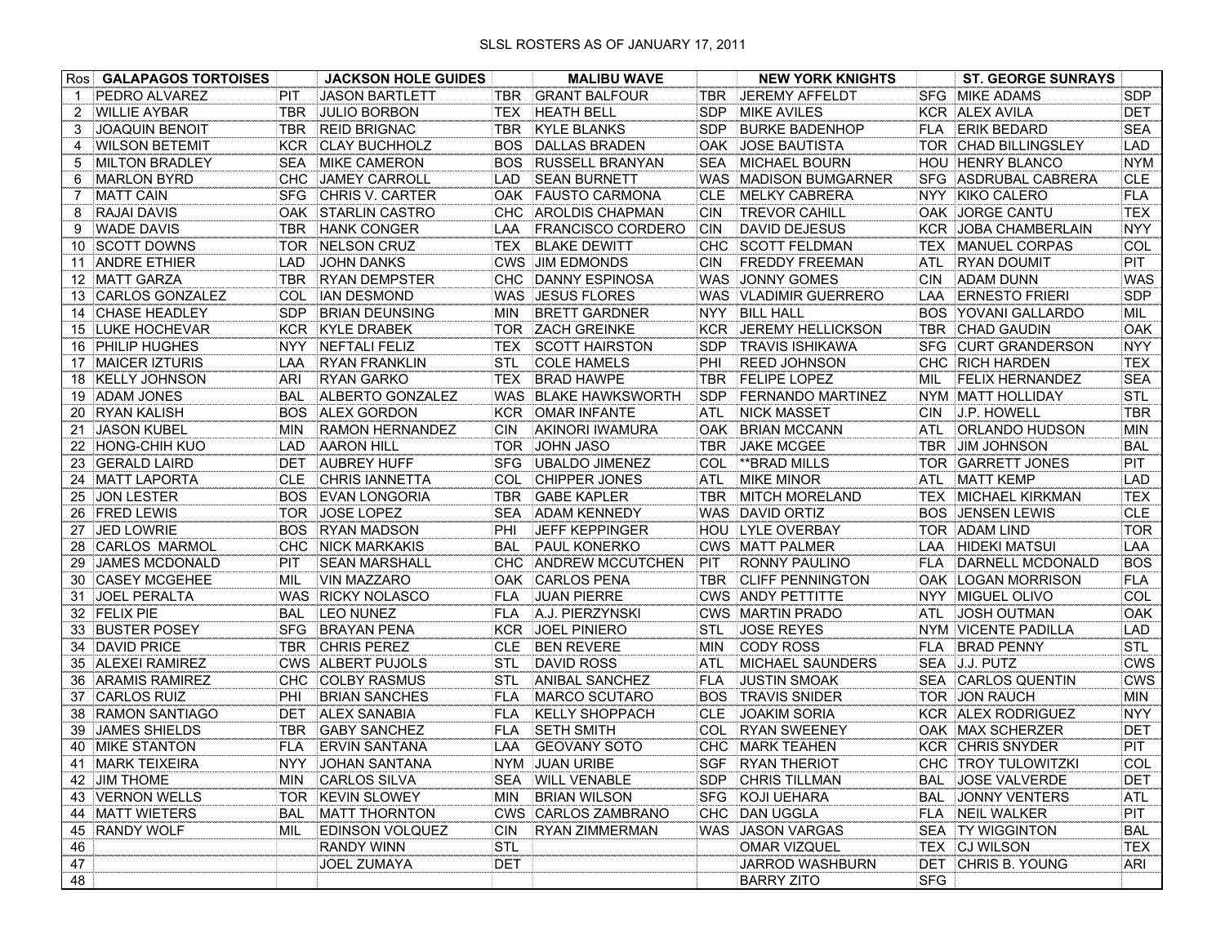| Ros | <b>GALAPAGOS TORTOISES</b> |            | <b>JACKSON HOLE GUIDES</b> |            | <b>MALIBU WAVE</b>       |            | <b>NEW YORK KNIGHTS</b>  | <b>ST. GEORGE SUNRAYS</b>            |            |
|-----|----------------------------|------------|----------------------------|------------|--------------------------|------------|--------------------------|--------------------------------------|------------|
|     | PEDRO ALVAREZ              | PIT        | <b>JASON BARTLETT</b>      | TBR        | <b>GRANT BALFOUR</b>     | TBR        | <b>JEREMY AFFELDT</b>    | <b>SFG MIKE ADAMS</b>                | <b>SDP</b> |
| 2   | <b>WILLIE AYBAR</b>        | <b>TBR</b> | <b>JULIO BORBON</b>        | TEX        | <b>HEATH BELL</b>        | <b>SDP</b> | <b>MIKE AVILES</b>       | KCR ALEX AVILA                       | <b>DET</b> |
| 3   | <b>JOAQUIN BENOIT</b>      | TBR        | <b>REID BRIGNAC</b>        | TBR        | <b>KYLE BLANKS</b>       | <b>SDP</b> | <b>BURKE BADENHOP</b>    | <b>FLA ERIK BEDARD</b>               | <b>SEA</b> |
| 4   | <b>WILSON BETEMIT</b>      | <b>KCR</b> | <b>CLAY BUCHHOLZ</b>       | BOS.       | <b>DALLAS BRADEN</b>     | 0AK        | <b>JOSE BAUTISTA</b>     | TOR CHAD BILLINGSLEY                 | LAD        |
| 5   | <b>MILTON BRADLEY</b>      | <b>SEA</b> | MIKE CAMERON               | BOS.       | <b>RUSSELL BRANYAN</b>   | <b>SEA</b> | MICHAEL BOURN            | <b>HOU HENRY BLANCO</b>              | <b>NYM</b> |
| 6   | <b>MARLON BYRD</b>         | CHC        | <b>JAMEY CARROLL</b>       | <b>LAD</b> | <b>SEAN BURNETT</b>      | <b>WAS</b> | <b>MADISON BUMGARNER</b> | <b>SFG ASDRUBAL CABRERA</b>          | <b>CLE</b> |
| 7   | <b>MATT CAIN</b>           | <b>SFG</b> | <b>CHRIS V. CARTER</b>     | <b>OAK</b> | <b>FAUSTO CARMONA</b>    | <b>CLE</b> | <b>MELKY CABRERA</b>     | NYY KIKO CALERO                      | <b>FLA</b> |
| 8   | <b>RAJAI DAVIS</b>         | OAK.       | <b>STARLIN CASTRO</b>      | СНС        | <b>AROLDIS CHAPMAN</b>   | <b>CIN</b> | <b>TREVOR CAHILL</b>     | OAK JORGE CANTU                      | <b>TEX</b> |
| 9   | <b>WADE DAVIS</b>          | TBR        | <b>HANK CONGER</b>         | LAA        | <b>FRANCISCO CORDERO</b> | <b>CIN</b> | <b>DAVID DEJESUS</b>     | <b>KCR JOBA CHAMBERLAIN</b>          | <b>NYY</b> |
| 10  | <b>SCOTT DOWNS</b>         | <b>TOR</b> | NELSON CRUZ                | <b>TEX</b> | <b>BLAKE DEWITT</b>      | <b>CHC</b> | <b>SCOTT FELDMAN</b>     | <b>TEX</b><br><b>MANUEL CORPAS</b>   | COL        |
| 11  | <b>ANDRE ETHIER</b>        | LAD        | <b>JOHN DANKS</b>          |            | <b>CWS JIM EDMONDS</b>   | <b>CIN</b> | <b>FREDDY FREEMAN</b>    | <b>RYAN DOUMIT</b><br>ATL            | <b>PIT</b> |
|     | 12 MATT GARZA              | <b>TBR</b> | <b>RYAN DEMPSTER</b>       | <b>CHC</b> | DANNY ESPINOSA           | <b>WAS</b> | JONNY GOMES              | <b>ADAM DUNN</b><br><b>CIN</b>       | <b>WAS</b> |
|     | 13 CARLOS GONZALEZ         | COL        | <b>IAN DESMOND</b>         |            | WAS JESUS FLORES         | <b>WAS</b> | <b>VLADIMIR GUERRERO</b> | <b>ERNESTO FRIERI</b><br>LAA         | <b>SDP</b> |
| 14  | <b>CHASE HEADLEY</b>       | <b>SDP</b> | <b>BRIAN DEUNSING</b>      | <b>MIN</b> | <b>BRETT GARDNER</b>     | <b>NYY</b> | <b>BILL HALL</b>         | YOVANI GALLARDO<br><b>BOS</b>        | MIL        |
|     | 15 LUKE HOCHEVAR           | KCR        | <b>KYLE DRABEK</b>         | <b>TOR</b> | <b>ZACH GREINKE</b>      | <b>KCR</b> | JEREMY HELLICKSON        | <b>TBR</b><br><b>CHAD GAUDIN</b>     | OAK        |
|     | 16 PHILIP HUGHES           | <b>NYY</b> | NEFTALI FELIZ              | TEX        | <b>SCOTT HAIRSTON</b>    | <b>SDP</b> | <b>TRAVIS ISHIKAWA</b>   | <b>SFG</b><br><b>CURT GRANDERSON</b> | <b>NYY</b> |
| 17  | <b>MAICER IZTURIS</b>      | LAA        | <b>RYAN FRANKLIN</b>       | <b>STL</b> | <b>COLE HAMELS</b>       | PHI        | <b>REED JOHNSON</b>      | <b>CHC RICH HARDEN</b>               | <b>TEX</b> |
| 18  | <b>KELLY JOHNSON</b>       | ARI        | <b>RYAN GARKO</b>          | <b>TEX</b> | <b>BRAD HAWPE</b>        | <b>TBR</b> | <b>FELIPE LOPEZ</b>      | <b>FELIX HERNANDEZ</b><br>MIL        | <b>SEA</b> |
| 19  | ADAM JONES                 | <b>BAL</b> | ALBERTO GONZALEZ           |            | WAS BLAKE HAWKSWORTH     | <b>SDP</b> | <b>FERNANDO MARTINEZ</b> | NYM MATT HOLLIDAY                    | <b>STL</b> |
|     | 20 RYAN KALISH             | <b>BOS</b> | <b>ALEX GORDON</b>         | <b>KCR</b> | <b>OMAR INFANTE</b>      | ATL        | <b>NICK MASSET</b>       | <b>CIN</b><br>J.P. HOWELL            | <b>TBR</b> |
| 21  | <b>JASON KUBEL</b>         | <b>MIN</b> | <b>RAMON HERNANDEZ</b>     | CIN        | AKINORI IWAMURA          | <b>OAK</b> | <b>BRIAN MCCANN</b>      | <b>ORLANDO HUDSON</b><br><b>ATL</b>  | <b>MIN</b> |
| 22  | <b>HONG-CHIH KUO</b>       | <b>LAD</b> | <b>AARON HILL</b>          | <b>TOR</b> | <b>JOHN JASO</b>         | <b>TBR</b> | <b>JAKE MCGEE</b>        | JIM JOHNSON<br><b>TBR</b>            | <b>BAL</b> |
| 23  | <b>GERALD LAIRD</b>        | DET        | <b>AUBREY HUFF</b>         | <b>SFG</b> | UBALDO JIMENEZ           | COL        | **BRAD MILLS             | TOR GARRETT JONES                    | PIT        |
| 24  | <b>MATT LAPORTA</b>        | <b>CLE</b> | <b>CHRIS IANNETTA</b>      | COL        | <b>CHIPPER JONES</b>     | ATL        | <b>MIKE MINOR</b>        | <b>ATL</b><br><b>MATT KEMP</b>       | <b>LAD</b> |
|     | 25 JON LESTER              | <b>BOS</b> | <b>EVAN LONGORIA</b>       | TBR        | <b>GABE KAPLER</b>       | <b>TBR</b> | <b>IMITCH MORELAND</b>   | <b>TEX</b><br><b>MICHAEL KIRKMAN</b> | <b>TEX</b> |
|     | 26 FRED LEWIS              | <b>TOR</b> | JOSE LOPEZ                 | <b>SEA</b> | <b>ADAM KENNEDY</b>      | <b>WAS</b> | <b>DAVID ORTIZ</b>       | <b>BOS JENSEN LEWIS</b>              | <b>CLE</b> |
| 27  | <b>JED LOWRIE</b>          | <b>BOS</b> | <b>RYAN MADSON</b>         | PHI        | <b>JEFF KEPPINGER</b>    | HOU        | <b>LYLE OVERBAY</b>      | TOR ADAM LIND                        | <b>TOR</b> |
|     | 28 CARLOS MARMOL           | CHC        | <b>NICK MARKAKIS</b>       | <b>BAL</b> | <b>PAUL KONERKO</b>      |            | <b>CWS MATT PALMER</b>   | <b>HIDEKI MATSUI</b><br>LAA          | LAA        |
| 29  | <b>JAMES MCDONALD</b>      | PIT        | <b>SEAN MARSHALL</b>       | <b>CHC</b> | <b>ANDREW MCCUTCHEN</b>  | PIT        | RONNY PAULINO            | DARNELL MCDONALD<br><b>FLA</b>       | <b>BOS</b> |
|     | 30 CASEY MCGEHEE           | MIL        | <b>VIN MAZZARO</b>         | <b>OAK</b> | <b>CARLOS PENA</b>       | <b>TBR</b> | <b>CLIFF PENNINGTON</b>  | OAK LOGAN MORRISON                   | FLA        |
| 31  | <b>JOEL PERALTA</b>        | <b>WAS</b> | <b>RICKY NOLASCO</b>       | <b>FLA</b> | <b>JUAN PIERRE</b>       |            | <b>CWS ANDY PETTITTE</b> | NYY MIGUEL OLIVO                     | COL        |
|     | 32 FELIX PIE               | <b>BAL</b> | <b>LEO NUNEZ</b>           | <b>FLA</b> | A.J. PIERZYNSKI          |            | <b>CWS MARTIN PRADO</b>  | JOSH OUTMAN<br>ATL                   | <b>OAK</b> |
|     | 33 BUSTER POSEY            | <b>SFG</b> | <b>BRAYAN PENA</b>         | <b>KCR</b> | <b>JOEL PINIERO</b>      | <b>STL</b> | <b>JOSE REYES</b>        | NYM VICENTE PADILLA                  | LAD        |
|     | 34 DAVID PRICE             | <b>TBR</b> | <b>CHRIS PEREZ</b>         | <b>CLE</b> | <b>BEN REVERE</b>        | <b>MIN</b> | <b>CODY ROSS</b>         | <b>BRAD PENNY</b><br>FLA.            | <b>STL</b> |
|     | 35 ALEXEI RAMIREZ          | <b>CWS</b> | <b>ALBERT PUJOLS</b>       | <b>STL</b> | <b>DAVID ROSS</b>        | ATL        | <b>MICHAEL SAUNDERS</b>  | SEA J.J. PUTZ                        | <b>CWS</b> |
|     | 36 ARAMIS RAMIREZ          | <b>CHC</b> | <b>COLBY RASMUS</b>        | <b>STL</b> | <b>ANIBAL SANCHEZ</b>    | <b>FLA</b> | <b>JUSTIN SMOAK</b>      | <b>SEA CARLOS QUENTIN</b>            | <b>CWS</b> |
| 37  | <b>CARLOS RUIZ</b>         | PHI        | <b>BRIAN SANCHES</b>       | <b>FLA</b> | <b>MARCO SCUTARO</b>     | <b>BOS</b> | <b>TRAVIS SNIDER</b>     | TOR JON RAUCH                        | <b>MIN</b> |
| 38  | <b>RAMON SANTIAGO</b>      | <b>DET</b> | <b>ALEX SANABIA</b>        | FLA        | <b>KELLY SHOPPACH</b>    | <b>CLE</b> | JOAKIM SORIA             | KCR ALEX RODRIGUEZ                   | <b>NYY</b> |
| 39  | <b>JAMES SHIELDS</b>       | <b>TBR</b> | <b>GABY SANCHEZ</b>        | FLA        | <b>SETH SMITH</b>        | <b>COL</b> | <b>RYAN SWEENEY</b>      | OAK MAX SCHERZER                     | <b>DET</b> |
|     | 40 MIKE STANTON            | <b>FLA</b> | <b>ERVIN SANTANA</b>       | LAA        | <b>GEOVANY SOTO</b>      |            | CHC MARK TEAHEN          | KCR CHRIS SNYDER                     | PIT        |
|     | 41 MARK TEIXEIRA           |            | NYY JOHAN SANTANA          |            | NYM JUAN URIBE           |            | SGF RYAN THERIOT         | CHC TROY TULOWITZKI                  | COL        |
|     | 42 JIM THOME               | MIN        | <b>CARLOS SILVA</b>        |            | SEA WILL VENABLE         | SDP.       | <b>CHRIS TILLMAN</b>     | <b>BAL JOSE VALVERDE</b>             | <b>DET</b> |
|     | 43 VERNON WELLS            |            | TOR KEVIN SLOWEY           | MIN        | <b>BRIAN WILSON</b>      | <b>SFG</b> | KOJI UEHARA              | <b>BAL JONNY VENTERS</b>             | ATL        |
|     | 44 MATT WIETERS            | BAL        | <b>MATT THORNTON</b>       |            | CWS CARLOS ZAMBRANO      | CHC        | <b>DAN UGGLA</b>         | FLA NEIL WALKER                      | PIT        |
|     | 45 RANDY WOLF              | MIL        | <b>EDINSON VOLQUEZ</b>     | CIN        | <b>RYAN ZIMMERMAN</b>    |            | WAS JASON VARGAS         | <b>SEA TY WIGGINTON</b>              | BAL        |
| 46  |                            |            | <b>RANDY WINN</b>          | <b>STL</b> |                          |            | <b>OMAR VIZQUEL</b>      | TEX CJ WILSON                        | <b>TEX</b> |
| 47  |                            |            | <b>JOEL ZUMAYA</b>         | <b>DET</b> |                          |            | JARROD WASHBURN          | DET CHRIS B. YOUNG                   | ARI        |
| 48  |                            |            |                            |            |                          |            | <b>BARRY ZITO</b>        | <b>SFG</b>                           |            |